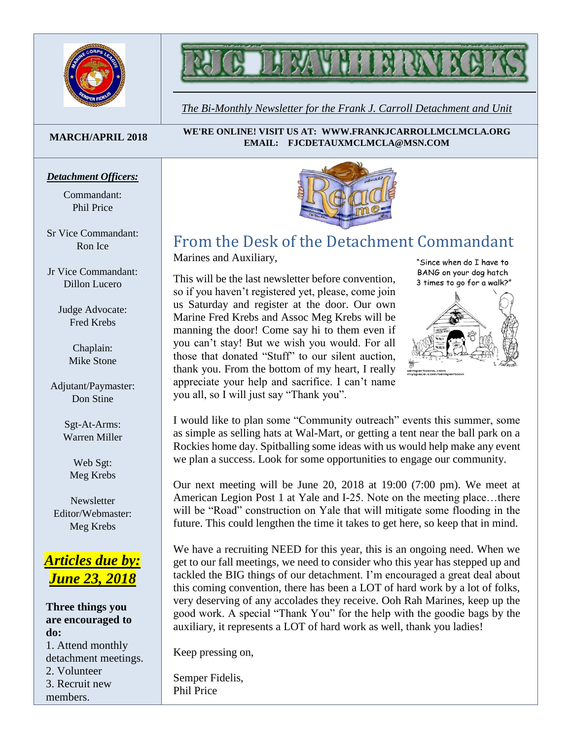



*The Bi-Monthly Newsletter for the Frank J. Carroll Detachment and Unit*

#### **MARCH/APRIL 2018**

#### *Detachment Officers:*

Commandant: Phil Price

Sr Vice Commandant: Ron Ice

Jr Vice Commandant: Dillon Lucero

> Judge Advocate: Fred Krebs

> > Chaplain: Mike Stone

Adjutant/Paymaster: Don Stine

> Sgt-At-Arms: Warren Miller

Web Sgt: Meg Krebs

**Newsletter** Editor/Webmaster: Meg Krebs

## *Articles due by: June 23, 2018*

**Three things you are encouraged to do:** 1. Attend monthly detachment meetings. 2. Volunteer 3. Recruit new members.

**WE'RE ONLINE! VISIT US AT: WWW.FRANKJCARROLLMCLMCLA.ORG EMAIL: FJCDETAUXMCLMCLA@MSN.COM**



# From the Desk of the Detachment Commandant

Marines and Auxiliary,

This will be the last newsletter before convention, so if you haven't registered yet, please, come join us Saturday and register at the door. Our own Marine Fred Krebs and Assoc Meg Krebs will be manning the door! Come say hi to them even if you can't stay! But we wish you would. For all those that donated "Stuff" to our silent auction, thank you. From the bottom of my heart, I really appreciate your help and sacrifice. I can't name you all, so I will just say "Thank you".

"Since when do I have to BANG on your dog hatch 3 times to go for a walk?"



I would like to plan some "Community outreach" events this summer, some as simple as selling hats at Wal-Mart, or getting a tent near the ball park on a Rockies home day. Spitballing some ideas with us would help make any event we plan a success. Look for some opportunities to engage our community.

Our next meeting will be June 20, 2018 at 19:00 (7:00 pm). We meet at American Legion Post 1 at Yale and I-25. Note on the meeting place…there will be "Road" construction on Yale that will mitigate some flooding in the future. This could lengthen the time it takes to get here, so keep that in mind.

We have a recruiting NEED for this year, this is an ongoing need. When we get to our fall meetings, we need to consider who this year has stepped up and tackled the BIG things of our detachment. I'm encouraged a great deal about this coming convention, there has been a LOT of hard work by a lot of folks, very deserving of any accolades they receive. Ooh Rah Marines, keep up the good work. A special "Thank You" for the help with the goodie bags by the auxiliary, it represents a LOT of hard work as well, thank you ladies!

Keep pressing on,

Semper Fidelis, Phil Price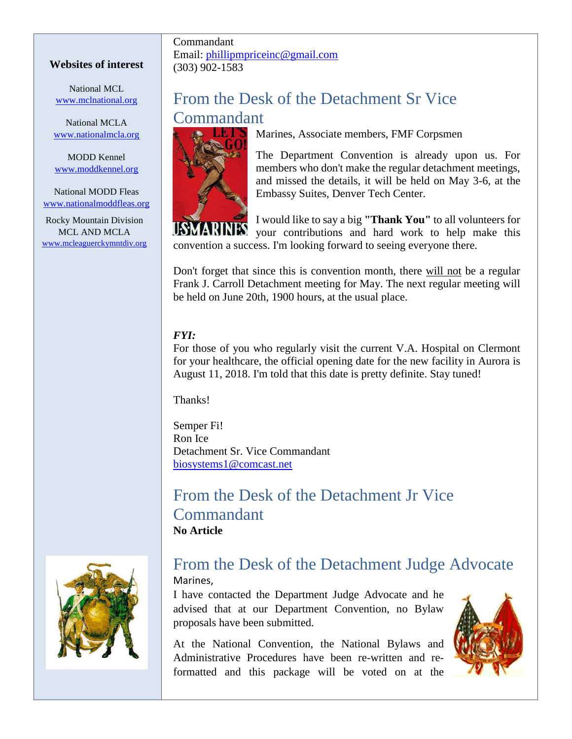### **Websites of interest**

National MCL [www.mclnational.org](http://www.mclnational.org/)

National MCLA [www.nationalmcla.org](http://www.nationalmcla.org/)

MODD Kennel [www.moddkennel.org](http://www.moddkennel.org/)

National MODD Fleas [www.nationalmoddfleas.org](http://www.nationalmoddfleas.org/)

Rocky Mountain Division MCL AND MCLA [www.mcleaguerckymntdiv.org](http://www.mcleaguerckymntdiv.org/)

### Commandant Email: [phillipmpriceinc@gmail.com](mailto:phillipmpriceinc@gmail.com) (303) 902-1583

# From the Desk of the Detachment Sr Vice Commandant



Marines, Associate members, FMF Corpsmen

The Department Convention is already upon us. For members who don't make the regular detachment meetings, and missed the details, it will be held on May 3-6, at the Embassy Suites, Denver Tech Center.

I would like to say a big **"Thank You"** to all volunteers for your contributions and hard work to help make this convention a success. I'm looking forward to seeing everyone there.

Don't forget that since this is convention month, there will not be a regular Frank J. Carroll Detachment meeting for May. The next regular meeting will be held on June 20th, 1900 hours, at the usual place.

## *FYI:*

For those of you who regularly visit the current V.A. Hospital on Clermont for your healthcare, the official opening date for the new facility in Aurora is August 11, 2018. I'm told that this date is pretty definite. Stay tuned!

Thanks!

Semper Fi! Ron Ice Detachment Sr. Vice Commandant [biosystems1@comcast.net](mailto:biosystems1@comcast.net)

From the Desk of the Detachment Jr Vice Commandant **No Article**



# From the Desk of the Detachment Judge Advocate

Marines,

I have contacted the Department Judge Advocate and he advised that at our Department Convention, no Bylaw proposals have been submitted.

At the National Convention, the National Bylaws and Administrative Procedures have been re-written and reformatted and this package will be voted on at the

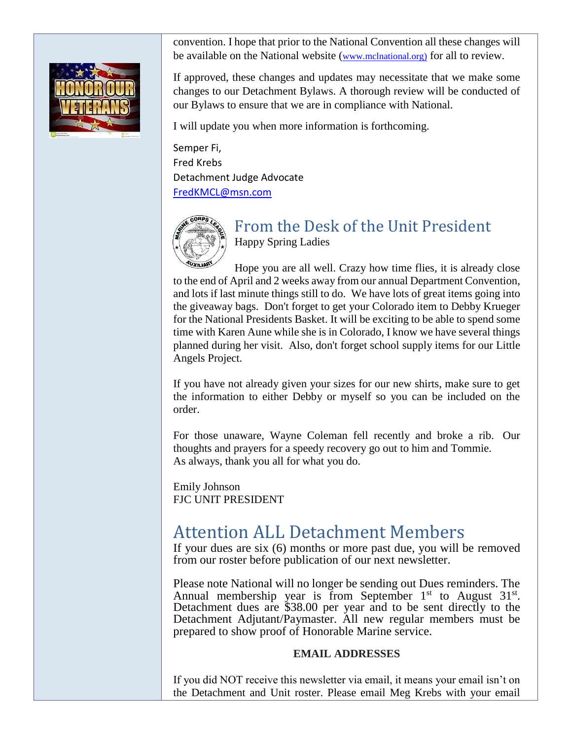convention. I hope that prior to the National Convention all these changes will be available on the National website ([www.mclnational.org\)](http://www.mclnational.org/) for all to review.

If approved, these changes and updates may necessitate that we make some changes to our Detachment Bylaws. A thorough review will be conducted of our Bylaws to ensure that we are in compliance with National.

I will update you when more information is forthcoming.

Semper Fi, Fred Krebs Detachment Judge Advocate [FredKMCL@msn.com](mailto:FredKMCL@msn.com)



## From the Desk of the Unit President Happy Spring Ladies

Hope you are all well. Crazy how time flies, it is already close to the end of April and 2 weeks away from our annual Department Convention, and lots if last minute things still to do. We have lots of great items going into the giveaway bags. Don't forget to get your Colorado item to Debby Krueger for the National Presidents Basket. It will be exciting to be able to spend some time with Karen Aune while she is in Colorado, I know we have several things planned during her visit. Also, don't forget school supply items for our Little Angels Project.

If you have not already given your sizes for our new shirts, make sure to get the information to either Debby or myself so you can be included on the order.

For those unaware, Wayne Coleman fell recently and broke a rib. Our thoughts and prayers for a speedy recovery go out to him and Tommie. As always, thank you all for what you do.

Emily Johnson FJC UNIT PRESIDENT

# Attention ALL Detachment Members

If your dues are six (6) months or more past due, you will be removed from our roster before publication of our next newsletter.

Please note National will no longer be sending out Dues reminders. The Annual membership year is from September  $1<sup>st</sup>$  to August  $31<sup>st</sup>$ . Detachment dues are \$38.00 per year and to be sent directly to the Detachment Adjutant/Paymaster. All new regular members must be prepared to show proof of Honorable Marine service.

## **EMAIL ADDRESSES**

If you did NOT receive this newsletter via email, it means your email isn't on the Detachment and Unit roster. Please email Meg Krebs with your email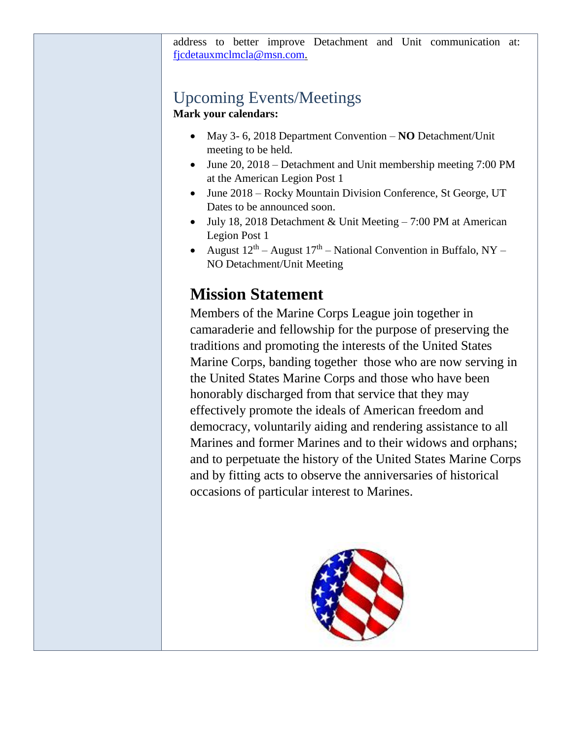address to better improve Detachment and Unit communication at: [fjcdetauxmclmcla@msn.com.](mailto:fjcdetauxmclmcla@msn.com)

# Upcoming Events/Meetings

**Mark your calendars:**

- May 3- 6, 2018 Department Convention **NO** Detachment/Unit meeting to be held.
- June 20, 2018 Detachment and Unit membership meeting 7:00 PM at the American Legion Post 1
- June 2018 Rocky Mountain Division Conference, St George, UT Dates to be announced soon.
- July 18, 2018 Detachment & Unit Meeting 7:00 PM at American Legion Post 1
- August  $12^{th}$  August  $17^{th}$  National Convention in Buffalo, NY NO Detachment/Unit Meeting

# **Mission Statement**

Members of the Marine Corps League join together in camaraderie and fellowship for the purpose of preserving the traditions and promoting the interests of the United States Marine Corps, banding together those who are now serving in the United States Marine Corps and those who have been honorably discharged from that service that they may effectively promote the ideals of American freedom and democracy, voluntarily aiding and rendering assistance to all Marines and former Marines and to their widows and orphans; and to perpetuate the history of the United States Marine Corps and by fitting acts to observe the anniversaries of historical occasions of particular interest to Marines.

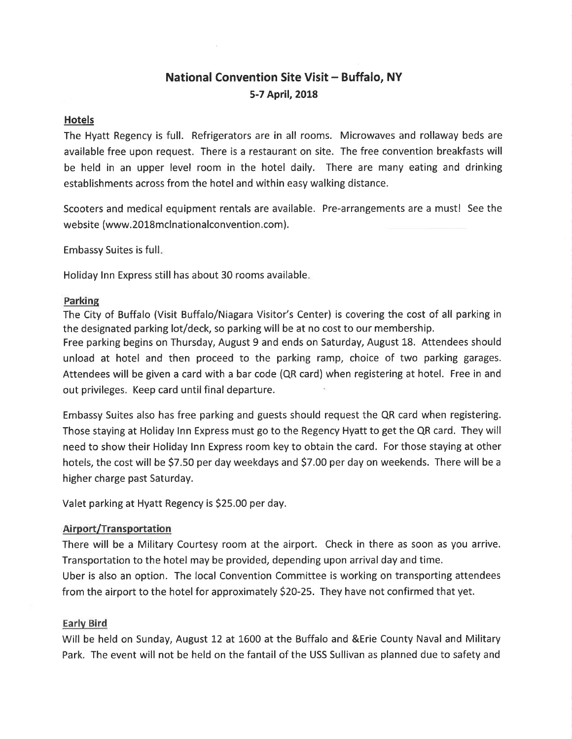## **National Convention Site Visit - Buffalo, NY** 5-7 April, 2018

#### **Hotels**

The Hyatt Regency is full. Refrigerators are in all rooms. Microwaves and rollaway beds are available free upon request. There is a restaurant on site. The free convention breakfasts will be held in an upper level room in the hotel daily. There are many eating and drinking establishments across from the hotel and within easy walking distance.

Scooters and medical equipment rentals are available. Pre-arrangements are a must! See the website (www.2018mclnationalconvention.com).

**Embassy Suites is full.** 

Holiday Inn Express still has about 30 rooms available.

#### Parking

The City of Buffalo (Visit Buffalo/Niagara Visitor's Center) is covering the cost of all parking in the designated parking lot/deck, so parking will be at no cost to our membership.

Free parking begins on Thursday, August 9 and ends on Saturday, August 18. Attendees should unload at hotel and then proceed to the parking ramp, choice of two parking garages. Attendees will be given a card with a bar code (QR card) when registering at hotel. Free in and out privileges. Keep card until final departure.

Embassy Suites also has free parking and guests should request the QR card when registering. Those staying at Holiday Inn Express must go to the Regency Hyatt to get the QR card. They will need to show their Holiday Inn Express room key to obtain the card. For those staying at other hotels, the cost will be \$7.50 per day weekdays and \$7.00 per day on weekends. There will be a higher charge past Saturday.

Valet parking at Hyatt Regency is \$25.00 per day.

### **Airport/Transportation**

There will be a Military Courtesy room at the airport. Check in there as soon as you arrive. Transportation to the hotel may be provided, depending upon arrival day and time. Uber is also an option. The local Convention Committee is working on transporting attendees from the airport to the hotel for approximately \$20-25. They have not confirmed that yet.

### **Early Bird**

Will be held on Sunday, August 12 at 1600 at the Buffalo and & Erie County Naval and Military Park. The event will not be held on the fantail of the USS Sullivan as planned due to safety and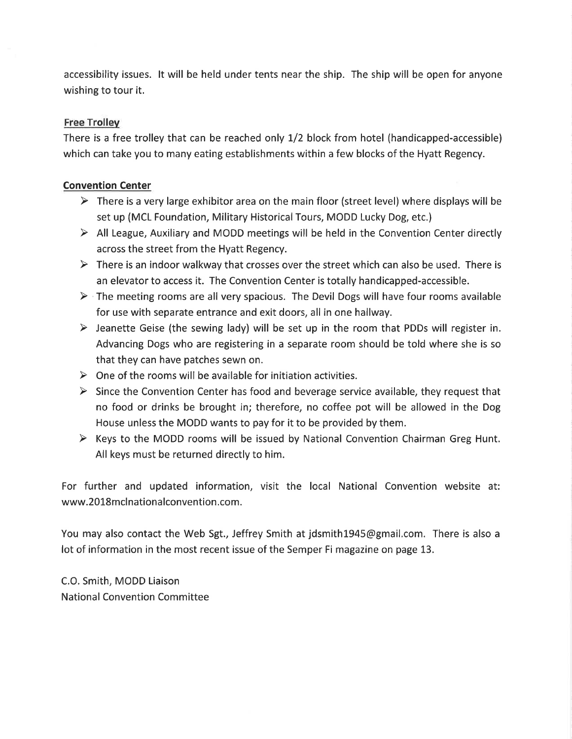accessibility issues. It will be held under tents near the ship. The ship will be open for anyone wishing to tour it.

## **Free Trolley**

There is a free trolley that can be reached only 1/2 block from hotel (handicapped-accessible) which can take you to many eating establishments within a few blocks of the Hyatt Regency.

## **Convention Center**

- $\triangleright$  There is a very large exhibitor area on the main floor (street level) where displays will be set up (MCL Foundation, Military Historical Tours, MODD Lucky Dog, etc.)
- $\triangleright$  All League, Auxiliary and MODD meetings will be held in the Convention Center directly across the street from the Hyatt Regency.
- $\triangleright$  There is an indoor walkway that crosses over the street which can also be used. There is an elevator to access it. The Convention Center is totally handicapped-accessible.
- $\triangleright$  The meeting rooms are all very spacious. The Devil Dogs will have four rooms available for use with separate entrance and exit doors, all in one hallway.
- $\triangleright$  Jeanette Geise (the sewing lady) will be set up in the room that PDDs will register in. Advancing Dogs who are registering in a separate room should be told where she is so that they can have patches sewn on.
- $\triangleright$  One of the rooms will be available for initiation activities.
- $\triangleright$  Since the Convention Center has food and beverage service available, they request that no food or drinks be brought in; therefore, no coffee pot will be allowed in the Dog House unless the MODD wants to pay for it to be provided by them.
- $\triangleright$  Keys to the MODD rooms will be issued by National Convention Chairman Greg Hunt. All keys must be returned directly to him.

For further and updated information, visit the local National Convention website at: www.2018mcInationalconvention.com.

You may also contact the Web Sgt., Jeffrey Smith at jdsmith1945@gmail.com. There is also a lot of information in the most recent issue of the Semper Fi magazine on page 13.

C.O. Smith, MODD Liaison **National Convention Committee**